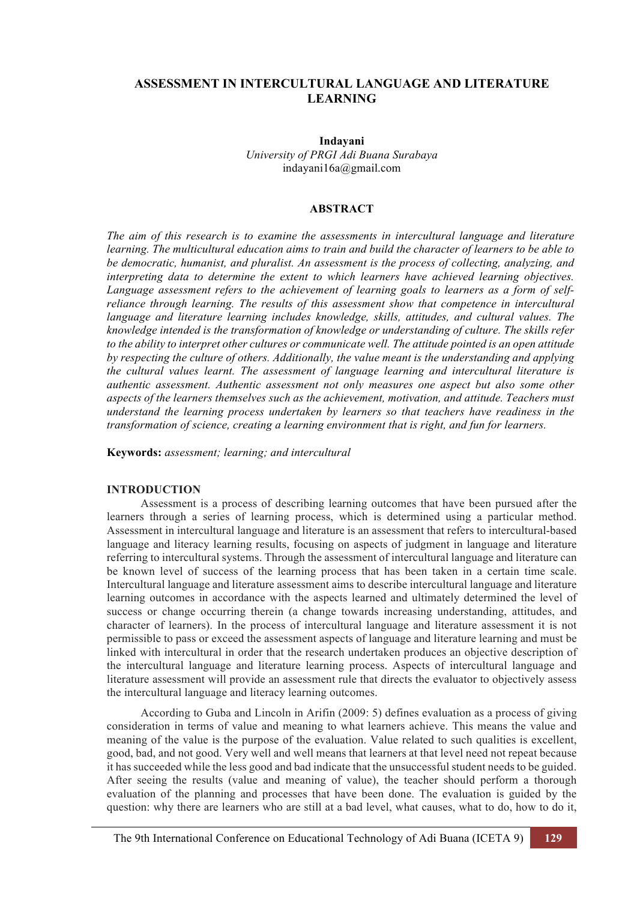# **ASSESSMENT IN INTERCULTURAL LANGUAGE AND LITERATURE LEARNING**

**Indayani** *University of PRGI Adi Buana Surabaya* indayani16a@gmail.com

# **ABSTRACT**

*The aim of this research is to examine the assessments in intercultural language and literature learning. The multicultural education aims to train and build the character of learners to be able to be democratic, humanist, and pluralist. An assessment is the process of collecting, analyzing, and interpreting data to determine the extent to which learners have achieved learning objectives. Language assessment refers to the achievement of learning goals to learners as a form of selfreliance through learning. The results of this assessment show that competence in intercultural language and literature learning includes knowledge, skills, attitudes, and cultural values. The knowledge intended is the transformation of knowledge or understanding of culture. The skills refer to the ability to interpret other cultures or communicate well. The attitude pointed is an open attitude by respecting the culture of others. Additionally, the value meant is the understanding and applying the cultural values learnt. The assessment of language learning and intercultural literature is authentic assessment. Authentic assessment not only measures one aspect but also some other aspects of the learners themselves such as the achievement, motivation, and attitude. Teachers must understand the learning process undertaken by learners so that teachers have readiness in the transformation of science, creating a learning environment that is right, and fun for learners.*

**Keywords:** *assessment; learning; and intercultural*

# **INTRODUCTION**

Assessment is a process of describing learning outcomes that have been pursued after the learners through a series of learning process, which is determined using a particular method. Assessment in intercultural language and literature is an assessment that refers to intercultural-based language and literacy learning results, focusing on aspects of judgment in language and literature referring to intercultural systems. Through the assessment of intercultural language and literature can be known level of success of the learning process that has been taken in a certain time scale. Intercultural language and literature assessment aims to describe intercultural language and literature learning outcomes in accordance with the aspects learned and ultimately determined the level of success or change occurring therein (a change towards increasing understanding, attitudes, and character of learners). In the process of intercultural language and literature assessment it is not permissible to pass or exceed the assessment aspects of language and literature learning and must be linked with intercultural in order that the research undertaken produces an objective description of the intercultural language and literature learning process. Aspects of intercultural language and literature assessment will provide an assessment rule that directs the evaluator to objectively assess the intercultural language and literacy learning outcomes.

According to Guba and Lincoln in Arifin (2009: 5) defines evaluation as a process of giving consideration in terms of value and meaning to what learners achieve. This means the value and meaning of the value is the purpose of the evaluation. Value related to such qualities is excellent, good, bad, and not good. Very well and well means that learners at that level need not repeat because it has succeeded while the less good and bad indicate that the unsuccessful student needs to be guided. After seeing the results (value and meaning of value), the teacher should perform a thorough evaluation of the planning and processes that have been done. The evaluation is guided by the question: why there are learners who are still at a bad level, what causes, what to do, how to do it,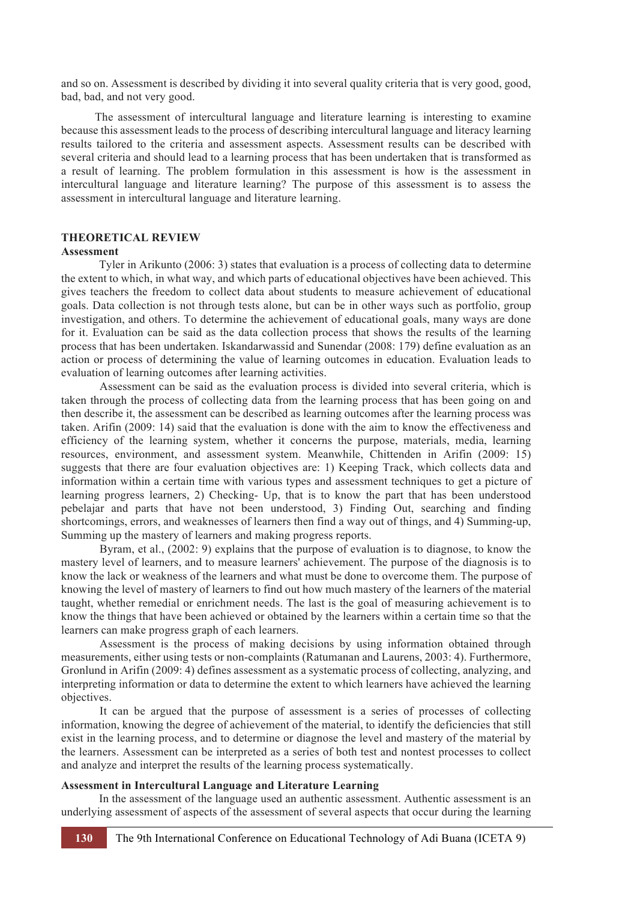and so on. Assessment is described by dividing it into several quality criteria that is very good, good, bad, bad, and not very good.

The assessment of intercultural language and literature learning is interesting to examine because this assessment leads to the process of describing intercultural language and literacy learning results tailored to the criteria and assessment aspects. Assessment results can be described with several criteria and should lead to a learning process that has been undertaken that is transformed as a result of learning. The problem formulation in this assessment is how is the assessment in intercultural language and literature learning? The purpose of this assessment is to assess the assessment in intercultural language and literature learning.

# **THEORETICAL REVIEW**

## **Assessment**

Tyler in Arikunto (2006: 3) states that evaluation is a process of collecting data to determine the extent to which, in what way, and which parts of educational objectives have been achieved. This gives teachers the freedom to collect data about students to measure achievement of educational goals. Data collection is not through tests alone, but can be in other ways such as portfolio, group investigation, and others. To determine the achievement of educational goals, many ways are done for it. Evaluation can be said as the data collection process that shows the results of the learning process that has been undertaken. Iskandarwassid and Sunendar (2008: 179) define evaluation as an action or process of determining the value of learning outcomes in education. Evaluation leads to evaluation of learning outcomes after learning activities.

Assessment can be said as the evaluation process is divided into several criteria, which is taken through the process of collecting data from the learning process that has been going on and then describe it, the assessment can be described as learning outcomes after the learning process was taken. Arifin (2009: 14) said that the evaluation is done with the aim to know the effectiveness and efficiency of the learning system, whether it concerns the purpose, materials, media, learning resources, environment, and assessment system. Meanwhile, Chittenden in Arifin (2009: 15) suggests that there are four evaluation objectives are: 1) Keeping Track, which collects data and information within a certain time with various types and assessment techniques to get a picture of learning progress learners, 2) Checking- Up, that is to know the part that has been understood pebelajar and parts that have not been understood, 3) Finding Out, searching and finding shortcomings, errors, and weaknesses of learners then find a way out of things, and 4) Summing-up, Summing up the mastery of learners and making progress reports.

Byram, et al., (2002: 9) explains that the purpose of evaluation is to diagnose, to know the mastery level of learners, and to measure learners' achievement. The purpose of the diagnosis is to know the lack or weakness of the learners and what must be done to overcome them. The purpose of knowing the level of mastery of learners to find out how much mastery of the learners of the material taught, whether remedial or enrichment needs. The last is the goal of measuring achievement is to know the things that have been achieved or obtained by the learners within a certain time so that the learners can make progress graph of each learners.

Assessment is the process of making decisions by using information obtained through measurements, either using tests or non-complaints (Ratumanan and Laurens, 2003: 4). Furthermore, Gronlund in Arifin (2009: 4) defines assessment as a systematic process of collecting, analyzing, and interpreting information or data to determine the extent to which learners have achieved the learning objectives.

It can be argued that the purpose of assessment is a series of processes of collecting information, knowing the degree of achievement of the material, to identify the deficiencies that still exist in the learning process, and to determine or diagnose the level and mastery of the material by the learners. Assessment can be interpreted as a series of both test and nontest processes to collect and analyze and interpret the results of the learning process systematically.

#### **Assessment in Intercultural Language and Literature Learning**

In the assessment of the language used an authentic assessment. Authentic assessment is an underlying assessment of aspects of the assessment of several aspects that occur during the learning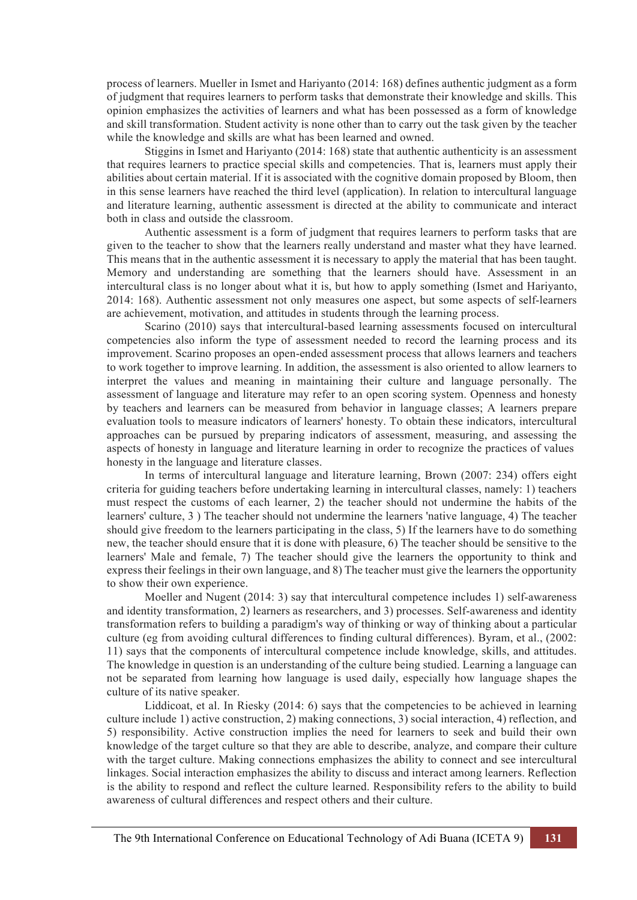process of learners. Mueller in Ismet and Hariyanto (2014: 168) defines authentic judgment as a form of judgment that requires learners to perform tasks that demonstrate their knowledge and skills. This opinion emphasizes the activities of learners and what has been possessed as a form of knowledge and skill transformation. Student activity is none other than to carry out the task given by the teacher while the knowledge and skills are what has been learned and owned.

Stiggins in Ismet and Hariyanto (2014: 168) state that authentic authenticity is an assessment that requires learners to practice special skills and competencies. That is, learners must apply their abilities about certain material. If it is associated with the cognitive domain proposed by Bloom, then in this sense learners have reached the third level (application). In relation to intercultural language and literature learning, authentic assessment is directed at the ability to communicate and interact both in class and outside the classroom.

Authentic assessment is a form of judgment that requires learners to perform tasks that are given to the teacher to show that the learners really understand and master what they have learned. This means that in the authentic assessment it is necessary to apply the material that has been taught. Memory and understanding are something that the learners should have. Assessment in an intercultural class is no longer about what it is, but how to apply something (Ismet and Hariyanto, 2014: 168). Authentic assessment not only measures one aspect, but some aspects of self-learners are achievement, motivation, and attitudes in students through the learning process.

Scarino (2010) says that intercultural-based learning assessments focused on intercultural competencies also inform the type of assessment needed to record the learning process and its improvement. Scarino proposes an open-ended assessment process that allows learners and teachers to work together to improve learning. In addition, the assessment is also oriented to allow learners to interpret the values and meaning in maintaining their culture and language personally. The assessment of language and literature may refer to an open scoring system. Openness and honesty by teachers and learners can be measured from behavior in language classes; A learners prepare evaluation tools to measure indicators of learners' honesty. To obtain these indicators, intercultural approaches can be pursued by preparing indicators of assessment, measuring, and assessing the aspects of honesty in language and literature learning in order to recognize the practices of values honesty in the language and literature classes.

In terms of intercultural language and literature learning, Brown (2007: 234) offers eight criteria for guiding teachers before undertaking learning in intercultural classes, namely: 1) teachers must respect the customs of each learner, 2) the teacher should not undermine the habits of the learners' culture, 3 ) The teacher should not undermine the learners 'native language, 4) The teacher should give freedom to the learners participating in the class, 5) If the learners have to do something new, the teacher should ensure that it is done with pleasure, 6) The teacher should be sensitive to the learners' Male and female, 7) The teacher should give the learners the opportunity to think and express their feelings in their own language, and 8) The teacher must give the learners the opportunity to show their own experience.

Moeller and Nugent (2014: 3) say that intercultural competence includes 1) self-awareness and identity transformation, 2) learners as researchers, and 3) processes. Self-awareness and identity transformation refers to building a paradigm's way of thinking or way of thinking about a particular culture (eg from avoiding cultural differences to finding cultural differences). Byram, et al., (2002: 11) says that the components of intercultural competence include knowledge, skills, and attitudes. The knowledge in question is an understanding of the culture being studied. Learning a language can not be separated from learning how language is used daily, especially how language shapes the culture of its native speaker.

Liddicoat, et al. In Riesky (2014: 6) says that the competencies to be achieved in learning culture include 1) active construction, 2) making connections, 3) social interaction, 4) reflection, and 5) responsibility. Active construction implies the need for learners to seek and build their own knowledge of the target culture so that they are able to describe, analyze, and compare their culture with the target culture. Making connections emphasizes the ability to connect and see intercultural linkages. Social interaction emphasizes the ability to discuss and interact among learners. Reflection is the ability to respond and reflect the culture learned. Responsibility refers to the ability to build awareness of cultural differences and respect others and their culture.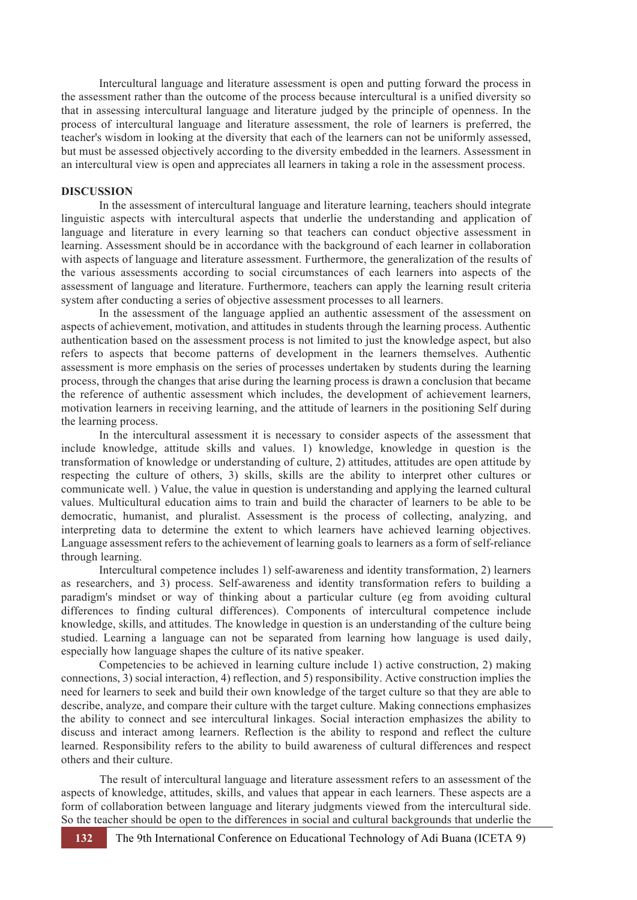Intercultural language and literature assessment is open and putting forward the process in the assessment rather than the outcome of the process because intercultural is a unified diversity so that in assessing intercultural language and literature judged by the principle of openness. In the process of intercultural language and literature assessment, the role of learners is preferred, the teacher's wisdom in looking at the diversity that each of the learners can not be uniformly assessed, but must be assessed objectively according to the diversity embedded in the learners. Assessment in an intercultural view is open and appreciates all learners in taking a role in the assessment process.

#### **DISCUSSION**

In the assessment of intercultural language and literature learning, teachers should integrate linguistic aspects with intercultural aspects that underlie the understanding and application of language and literature in every learning so that teachers can conduct objective assessment in learning. Assessment should be in accordance with the background of each learner in collaboration with aspects of language and literature assessment. Furthermore, the generalization of the results of the various assessments according to social circumstances of each learners into aspects of the assessment of language and literature. Furthermore, teachers can apply the learning result criteria system after conducting a series of objective assessment processes to all learners.

In the assessment of the language applied an authentic assessment of the assessment on aspects of achievement, motivation, and attitudes in students through the learning process. Authentic authentication based on the assessment process is not limited to just the knowledge aspect, but also refers to aspects that become patterns of development in the learners themselves. Authentic assessment is more emphasis on the series of processes undertaken by students during the learning process, through the changes that arise during the learning process is drawn a conclusion that became the reference of authentic assessment which includes, the development of achievement learners, motivation learners in receiving learning, and the attitude of learners in the positioning Self during the learning process.

In the intercultural assessment it is necessary to consider aspects of the assessment that include knowledge, attitude skills and values. 1) knowledge, knowledge in question is the transformation of knowledge or understanding of culture, 2) attitudes, attitudes are open attitude by respecting the culture of others, 3) skills, skills are the ability to interpret other cultures or communicate well. ) Value, the value in question is understanding and applying the learned cultural values. Multicultural education aims to train and build the character of learners to be able to be democratic, humanist, and pluralist. Assessment is the process of collecting, analyzing, and interpreting data to determine the extent to which learners have achieved learning objectives. Language assessment refers to the achievement of learning goals to learners as a form of self-reliance through learning.

Intercultural competence includes 1) self-awareness and identity transformation, 2) learners as researchers, and 3) process. Self-awareness and identity transformation refers to building a paradigm's mindset or way of thinking about a particular culture (eg from avoiding cultural differences to finding cultural differences). Components of intercultural competence include knowledge, skills, and attitudes. The knowledge in question is an understanding of the culture being studied. Learning a language can not be separated from learning how language is used daily, especially how language shapes the culture of its native speaker.

Competencies to be achieved in learning culture include 1) active construction, 2) making connections, 3) social interaction, 4) reflection, and 5) responsibility. Active construction implies the need for learners to seek and build their own knowledge of the target culture so that they are able to describe, analyze, and compare their culture with the target culture. Making connections emphasizes the ability to connect and see intercultural linkages. Social interaction emphasizes the ability to discuss and interact among learners. Reflection is the ability to respond and reflect the culture learned. Responsibility refers to the ability to build awareness of cultural differences and respect others and their culture.

The result of intercultural language and literature assessment refers to an assessment of the aspects of knowledge, attitudes, skills, and values that appear in each learners. These aspects are a form of collaboration between language and literary judgments viewed from the intercultural side. So the teacher should be open to the differences in social and cultural backgrounds that underlie the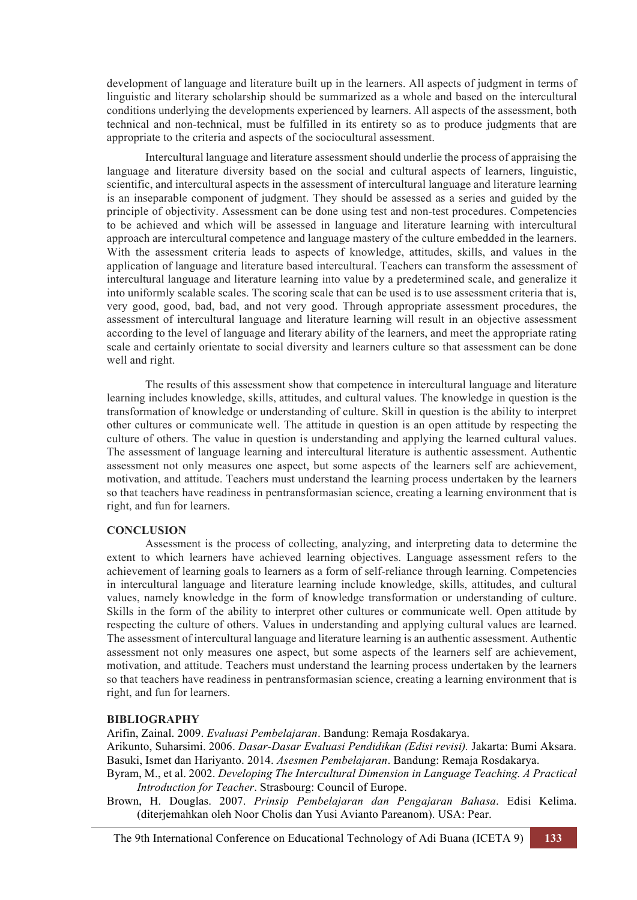development of language and literature built up in the learners. All aspects of judgment in terms of linguistic and literary scholarship should be summarized as a whole and based on the intercultural conditions underlying the developments experienced by learners. All aspects of the assessment, both technical and non-technical, must be fulfilled in its entirety so as to produce judgments that are appropriate to the criteria and aspects of the sociocultural assessment.

Intercultural language and literature assessment should underlie the process of appraising the language and literature diversity based on the social and cultural aspects of learners, linguistic, scientific, and intercultural aspects in the assessment of intercultural language and literature learning is an inseparable component of judgment. They should be assessed as a series and guided by the principle of objectivity. Assessment can be done using test and non-test procedures. Competencies to be achieved and which will be assessed in language and literature learning with intercultural approach are intercultural competence and language mastery of the culture embedded in the learners. With the assessment criteria leads to aspects of knowledge, attitudes, skills, and values in the application of language and literature based intercultural. Teachers can transform the assessment of intercultural language and literature learning into value by a predetermined scale, and generalize it into uniformly scalable scales. The scoring scale that can be used is to use assessment criteria that is, very good, good, bad, bad, and not very good. Through appropriate assessment procedures, the assessment of intercultural language and literature learning will result in an objective assessment according to the level of language and literary ability of the learners, and meet the appropriate rating scale and certainly orientate to social diversity and learners culture so that assessment can be done well and right.

The results of this assessment show that competence in intercultural language and literature learning includes knowledge, skills, attitudes, and cultural values. The knowledge in question is the transformation of knowledge or understanding of culture. Skill in question is the ability to interpret other cultures or communicate well. The attitude in question is an open attitude by respecting the culture of others. The value in question is understanding and applying the learned cultural values. The assessment of language learning and intercultural literature is authentic assessment. Authentic assessment not only measures one aspect, but some aspects of the learners self are achievement, motivation, and attitude. Teachers must understand the learning process undertaken by the learners so that teachers have readiness in pentransformasian science, creating a learning environment that is right, and fun for learners.

## **CONCLUSION**

Assessment is the process of collecting, analyzing, and interpreting data to determine the extent to which learners have achieved learning objectives. Language assessment refers to the achievement of learning goals to learners as a form of self-reliance through learning. Competencies in intercultural language and literature learning include knowledge, skills, attitudes, and cultural values, namely knowledge in the form of knowledge transformation or understanding of culture. Skills in the form of the ability to interpret other cultures or communicate well. Open attitude by respecting the culture of others. Values in understanding and applying cultural values are learned. The assessment of intercultural language and literature learning is an authentic assessment. Authentic assessment not only measures one aspect, but some aspects of the learners self are achievement, motivation, and attitude. Teachers must understand the learning process undertaken by the learners so that teachers have readiness in pentransformasian science, creating a learning environment that is right, and fun for learners.

## **BIBLIOGRAPHY**

Arifin, Zainal. 2009. *Evaluasi Pembelajaran*. Bandung: Remaja Rosdakarya.

Arikunto, Suharsimi. 2006. *Dasar-Dasar Evaluasi Pendidikan (Edisi revisi).* Jakarta: Bumi Aksara. Basuki, Ismet dan Hariyanto. 2014. *Asesmen Pembelajaran*. Bandung: Remaja Rosdakarya.

Byram, M., et al. 2002. *Developing The Intercultural Dimension in Language Teaching. A Practical Introduction for Teacher*. Strasbourg: Council of Europe.

Brown, H. Douglas. 2007. *Prinsip Pembelajaran dan Pengajaran Bahasa*. Edisi Kelima. (diterjemahkan oleh Noor Cholis dan Yusi Avianto Pareanom). USA: Pear.